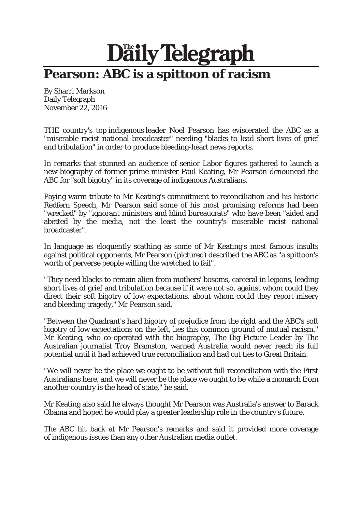## Daily Telegraph **Pearson: ABC is a spittoon of racism**

By Sharri Markson Daily Telegraph November 22, 2016

THE country's top indigenous leader Noel Pearson has eviscerated the ABC as a "miserable racist national broadcaster" needing "blacks to lead short lives of grief and tribulation" in order to produce bleeding-heart news reports.

In remarks that stunned an audience of senior Labor figures gathered to launch a new biography of former prime minister Paul Keating, Mr Pearson denounced the ABC for "soft bigotry" in its coverage of indigenous Australians.

Paying warm tribute to Mr Keating's commitment to reconciliation and his historic Redfern Speech, Mr Pearson said some of his most promising reforms had been "wrecked" by "ignorant ministers and blind bureaucrats" who have been "aided and abetted by the media, not the least the country's miserable racist national broadcaster".

In language as eloquently scathing as some of Mr Keating's most famous insults against political opponents, Mr Pearson (pictured) described the ABC as "a spittoon's worth of perverse people willing the wretched to fail".

"They need blacks to remain alien from mothers' bosoms, carceral in legions, leading short lives of grief and tribulation because if it were not so, against whom could they direct their soft bigotry of low expectations, about whom could they report misery and bleeding tragedy," Mr Pearson said.

"Between the Quadrant's hard bigotry of prejudice from the right and the ABC's soft bigotry of low expectations on the left, lies this common ground of mutual racism." Mr Keating, who co-operated with the biography, The Big Picture Leader by The Australian journalist Troy Bramston, warned Australia would never reach its full potential until it had achieved true reconciliation and had cut ties to Great Britain.

"We will never be the place we ought to be without full reconciliation with the First Australians here, and we will never be the place we ought to be while a monarch from another country is the head of state," he said.

Mr Keating also said he always thought Mr Pearson was Australia's answer to Barack Obama and hoped he would play a greater leadership role in the country's future.

The ABC hit back at Mr Pearson's remarks and said it provided more coverage of indigenous issues than any other Australian media outlet.